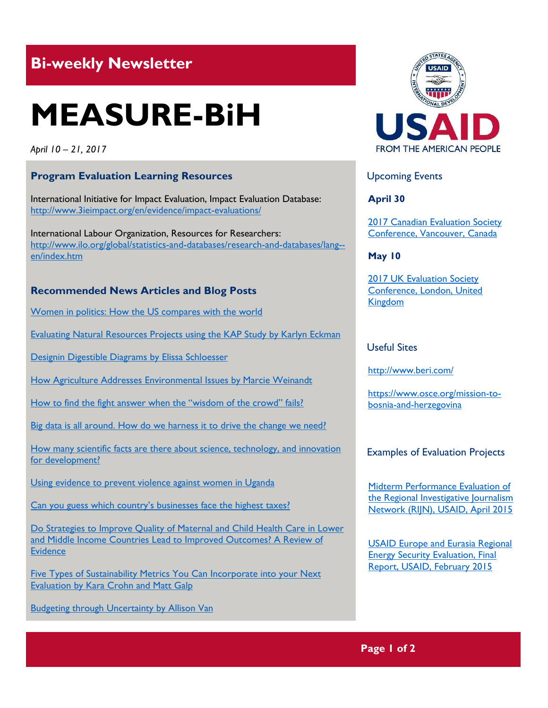# **Bi-weekly Newsletter**

# **MEASURE-BiH**

*April 10 – 21, 2017*

# **Program Evaluation Learning Resources**

International Initiative for Impact Evaluation, Impact Evaluation Database: <http://www.3ieimpact.org/en/evidence/impact-evaluations/>

International Labour Organization, Resources for Researchers: [http://www.ilo.org/global/statistics-and-databases/research-and-databases/lang-](http://www.ilo.org/global/statistics-and-databases/research-and-databases/lang--en/index.htm) [en/index.htm](http://www.ilo.org/global/statistics-and-databases/research-and-databases/lang--en/index.htm)

#### **Recommended News Articles and Blog Posts**

[Women in politics: How the US compares with the world](https://www.pri.org/stories/2015-09-10/women-politics-how-us-compares-world-video) 

[Evaluating Natural Resources Projects using the KAP Study by Karlyn Eckman](http://aea365.org/blog/epe-tig-week-evaluating-natural-resources-projects-using-the-kap-study-by-karlyn-eckman/?utm_source=feedburner&utm_medium=feed&utm_campaign=Feed%3A+aea365+%28AEA365%29)

[Designin Digestible Diagrams by Elissa Schloesser](http://aea365.org/blog/dvr-tig-week-designing-digestible-diagrams-by-elissa-schloesser/?utm_source=feedburner&utm_medium=feed&utm_campaign=Feed%3A+aea365+%28AEA365%29)

[How Agriculture Addresses Environmental Issues by Marcie Weinandt](http://aea365.org/blog/epe-tig-week-how-agriculture-addresses-environmental-issues-by-marcie-weinandt/?utm_source=feedburner&utm_medium=feed&utm_campaign=Feed%3A+aea365+%28AEA365%29)

[How to find the fight answer when the "wisdom of the crowd" fails?](http://mande.co.uk/2017/uncategorized/how-to-find-the-right-answer-when-the-wisdom-of-the-crowd-fails/)

[Big data is all around. How do we harness it to drive the change we need?](https://blogs.worldbank.org/developmenttalk/big-data-all-around-how-do-we-harness-it-drive-change-we-need)

[How many scientific facts are there about science, technology, and innovation](http://blogs.3ieimpact.org/many-scientific-facts-science-technology-innovation-development/)  [for development?](http://blogs.3ieimpact.org/many-scientific-facts-science-technology-innovation-development/)

[Using evidence to prevent violence against women in Uganda](http://www.3ieimpact.org/en/evidence/policy-briefs/3ie-briefs/details/using-evidence-to-prevent-violence-against-women-in-uganda/)

[Can you guess which country's businesses face the highest taxes?](https://www.pri.org/stories/2017-04-12/can-you-guess-which-country-s-businesses-face-highest-taxes)

[Do Strategies to Improve Quality of Maternal and Child Health Care in Lower](http://journals.plos.org/plosone/article?id=10.1371/journal.pone.0083070)  [and Middle Income Countries Lead to Improved Outcomes? A Review of](http://journals.plos.org/plosone/article?id=10.1371/journal.pone.0083070)  **[Evidence](http://journals.plos.org/plosone/article?id=10.1371/journal.pone.0083070)** 

[Five Types of Sustainability Metrics You Can Incorporate into your Next](http://aea365.org/blog/epe-tig-week-five-types-of-sustainability-metrics-you-can-incorporate-into-your-next-evaluation-by-kara-crohn-and-matt-galp/?utm_source=feedburner&utm_medium=feed&utm_campaign=Feed%3A+aea365+%28AEA365%29)  [Evaluation by Kara Crohn and Matt Galp](http://aea365.org/blog/epe-tig-week-five-types-of-sustainability-metrics-you-can-incorporate-into-your-next-evaluation-by-kara-crohn-and-matt-galp/?utm_source=feedburner&utm_medium=feed&utm_campaign=Feed%3A+aea365+%28AEA365%29)

[Budgeting through Uncertainty by Allison Van](http://aea365.org/blog/epe-tig-week-budgeting-through-uncertainty-by-allison-van/?utm_source=feedburner&utm_medium=feed&utm_campaign=Feed%3A+aea365+%28AEA365%29)



## Upcoming Events

**April 30**

[2017 Canadian Evaluation Society](http://mande.co.uk/conferences/?event_id1=29)  [Conference, Vancouver, Canada](http://mande.co.uk/conferences/?event_id1=29)

**May 10**

[2017 UK Evaluation Society](http://mande.co.uk/conferences/?event_id1=30)  [Conference, London, United](http://mande.co.uk/conferences/?event_id1=30)  [Kingdom](http://mande.co.uk/conferences/?event_id1=30)

#### Useful Sites

[http://w](http://gtf.esmap.org/)ww.beri.com/

https://www.osce.org/mission-tobosnia-and-herzegovina

## Examples of Evaluation Projects

[Midterm Performance Evaluation of](http://pdf.usaid.gov/pdf_docs/pa00km3j.pdf)  [the Regional Investigative Journalism](http://pdf.usaid.gov/pdf_docs/pa00km3j.pdf)  [Network \(RIJN\), USAID, April 2015](http://pdf.usaid.gov/pdf_docs/pa00km3j.pdf)

[USAID Europe and Eurasia Regional](http://pdf.usaid.gov/pdf_docs/pa00kbdn.pdf)  [Energy Security Evaluation, Final](http://pdf.usaid.gov/pdf_docs/pa00kbdn.pdf)  [Report, USAID, February 2015](http://pdf.usaid.gov/pdf_docs/pa00kbdn.pdf)

# **Page 1 of 2**